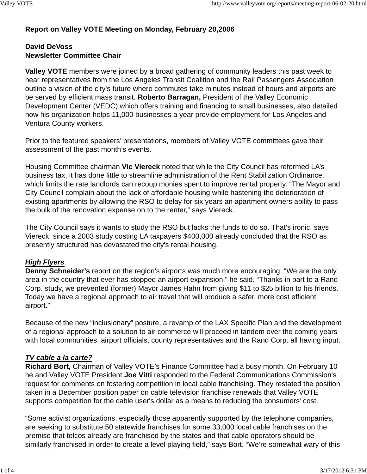# **Report on Valley VOTE Meeting on Monday, February 20,2006**

### **David DeVoss Newsletter Committee Chair**

**Valley VOTE** members were joined by a broad gathering of community leaders this past week to hear representatives from the Los Angeles Transit Coalition and the Rail Passengers Association outline a vision of the city's future where commutes take minutes instead of hours and airports are be served by efficient mass transit. **Roberto Barragan,** President of the Valley Economic Development Center (VEDC) which offers training and financing to small businesses, also detailed how his organization helps 11,000 businesses a year provide employment for Los Angeles and Ventura County workers.

Prior to the featured speakers' presentations, members of Valley VOTE committees gave their assessment of the past month's events.

Housing Committee chairman **Vic Viereck** noted that while the City Council has reformed LA's business tax, it has done little to streamline administration of the Rent Stabilization Ordinance, which limits the rate landlords can recoup monies spent to improve rental property. "The Mayor and City Council complain about the lack of affordable housing while hastening the deterioration of existing apartments by allowing the RSO to delay for six years an apartment owners ability to pass the bulk of the renovation expense on to the renter," says Viereck.

The City Council says it wants to study the RSO but lacks the funds to do so. That's ironic, says Viereck, since a 2003 study costing LA taxpayers \$400,000 already concluded that the RSO as presently structured has devastated the city's rental housing.

## *High Flyers*

**Denny Schneider's** report on the region's airports was much more encouraging. "We are the only area in the country that ever has stopped an airport expansion," he said. "Thanks in part to a Rand Corp. study, we prevented (former) Mayor James Hahn from giving \$11 to \$25 billion to his friends. Today we have a regional approach to air travel that will produce a safer, more cost efficient airport."

Because of the new "inclusionary" posture, a revamp of the LAX Specific Plan and the development of a regional approach to a solution to air commerce will proceed in tandem over the coming years with local communities, airport officials, county representatives and the Rand Corp. all having input.

## *TV cable a la carte?*

**Richard Bort,** Chairman of Valley VOTE's Finance Committee had a busy month. On February 10 he and Valley VOTE President **Joe Vitti** responded to the Federal Communications Commission's request for comments on fostering competition in local cable franchising. They restated the position taken in a December position paper on cable television franchise renewals that Valley VOTE supports competition for the cable user's dollar as a means to reducing the consumers' cost.

"Some activist organizations, especially those apparently supported by the telephone companies, are seeking to substitute 50 statewide franchises for some 33,000 local cable franchises on the premise that telcos already are franchised by the states and that cable operators should be similarly franchised in order to create a level playing field," says Bort. "We're somewhat wary of this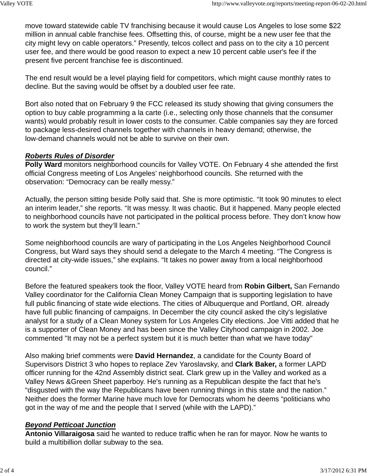move toward statewide cable TV franchising because it would cause Los Angeles to lose some \$22 million in annual cable franchise fees. Offsetting this, of course, might be a new user fee that the city might levy on cable operators." Presently, telcos collect and pass on to the city a 10 percent user fee, and there would be good reason to expect a new 10 percent cable user's fee if the present five percent franchise fee is discontinued.

The end result would be a level playing field for competitors, which might cause monthly rates to decline. But the saving would be offset by a doubled user fee rate.

Bort also noted that on February 9 the FCC released its study showing that giving consumers the option to buy cable programming a la carte (i.e., selecting only those channels that the consumer wants) would probably result in lower costs to the consumer. Cable companies say they are forced to package less-desired channels together with channels in heavy demand; otherwise, the low-demand channels would not be able to survive on their own.

### *Roberts Rules of Disorder*

**Polly Ward** monitors neighborhood councils for Valley VOTE. On February 4 she attended the first official Congress meeting of Los Angeles' neighborhood councils. She returned with the observation: "Democracy can be really messy."

Actually, the person sitting beside Polly said that. She is more optimistic. "It took 90 minutes to elect an interim leader," she reports. "It was messy. It was chaotic. But it happened. Many people elected to neighborhood councils have not participated in the political process before. They don't know how to work the system but they'll learn."

Some neighborhood councils are wary of participating in the Los Angeles Neighborhood Council Congress, but Ward says they should send a delegate to the March 4 meeting. "The Congress is directed at city-wide issues," she explains. "It takes no power away from a local neighborhood council."

Before the featured speakers took the floor, Valley VOTE heard from **Robin Gilbert,** San Fernando Valley coordinator for the California Clean Money Campaign that is supporting legislation to have full public financing of state wide elections. The cities of Albuquerque and Portland, OR. already have full public financing of campaigns. In December the city council asked the city's legislative analyst for a study of a Clean Money system for Los Angeles City elections. Joe Vitti added that he is a supporter of Clean Money and has been since the Valley Cityhood campaign in 2002. Joe commented "It may not be a perfect system but it is much better than what we have today"

Also making brief comments were **David Hernandez**, a candidate for the County Board of Supervisors District 3 who hopes to replace Zev Yaroslavsky, and **Clark Baker,** a former LAPD officer running for the 42nd Assembly district seat. Clark grew up in the Valley and worked as a Valley News &Green Sheet paperboy. He's running as a Republican despite the fact that he's "disgusted with the way the Republicans have been running things in this state and the nation." Neither does the former Marine have much love for Democrats whom he deems "politicians who got in the way of me and the people that I served (while with the LAPD)."

### *Beyond Petticoat Junction*

**Antonio Villaraigosa** said he wanted to reduce traffic when he ran for mayor. Now he wants to build a multibillion dollar subway to the sea.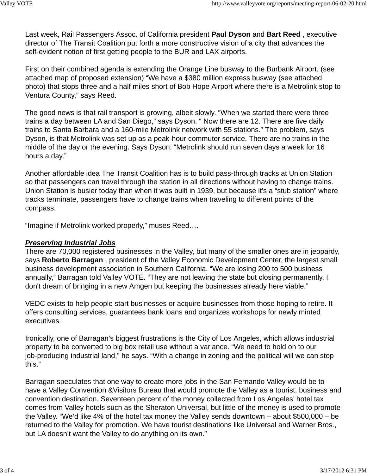Last week, Rail Passengers Assoc. of California president **Paul Dyson** and **Bart Reed** , executive director of The Transit Coalition put forth a more constructive vision of a city that advances the self-evident notion of first getting people to the BUR and LAX airports.

First on their combined agenda is extending the Orange Line busway to the Burbank Airport. (see attached map of proposed extension) "We have a \$380 million express busway (see attached photo) that stops three and a half miles short of Bob Hope Airport where there is a Metrolink stop to Ventura County," says Reed.

The good news is that rail transport is growing, albeit slowly. "When we started there were three trains a day between LA and San Diego," says Dyson. " Now there are 12. There are five daily trains to Santa Barbara and a 160-mile Metrolink network with 55 stations." The problem, says Dyson, is that Metrolink was set up as a peak-hour commuter service. There are no trains in the middle of the day or the evening. Says Dyson: "Metrolink should run seven days a week for 16 hours a day."

Another affordable idea The Transit Coalition has is to build pass-through tracks at Union Station so that passengers can travel through the station in all directions without having to change trains. Union Station is busier today than when it was built in 1939, but because it's a "stub station" where tracks terminate, passengers have to change trains when traveling to different points of the compass.

"Imagine if Metrolink worked properly," muses Reed….

### *Preserving Industrial Jobs*

There are 70,000 registered businesses in the Valley, but many of the smaller ones are in jeopardy, says **Roberto Barragan** , president of the Valley Economic Development Center, the largest small business development association in Southern California. "We are losing 200 to 500 business annually," Barragan told Valley VOTE. "They are not leaving the state but closing permanently. I don't dream of bringing in a new Amgen but keeping the businesses already here viable."

VEDC exists to help people start businesses or acquire businesses from those hoping to retire. It offers consulting services, guarantees bank loans and organizes workshops for newly minted executives.

Ironically, one of Barragan's biggest frustrations is the City of Los Angeles, which allows industrial property to be converted to big box retail use without a variance. "We need to hold on to our job-producing industrial land," he says. "With a change in zoning and the political will we can stop this."

Barragan speculates that one way to create more jobs in the San Fernando Valley would be to have a Valley Convention &Visitors Bureau that would promote the Valley as a tourist, business and convention destination. Seventeen percent of the money collected from Los Angeles' hotel tax comes from Valley hotels such as the Sheraton Universal, but little of the money is used to promote the Valley. "We'd like 4% of the hotel tax money the Valley sends downtown – about \$500,000 – be returned to the Valley for promotion. We have tourist destinations like Universal and Warner Bros., but LA doesn't want the Valley to do anything on its own."